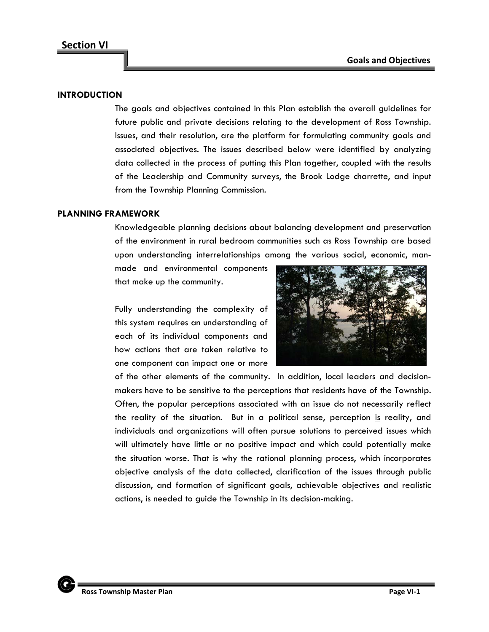## **INTRODUCTION**

The goals and objectives contained in this Plan establish the overall guidelines for future public and private decisions relating to the development of Ross Township. Issues, and their resolution, are the platform for formulating community goals and associated objectives. The issues described below were identified by analyzing data collected in the process of putting this Plan together, coupled with the results of the Leadership and Community surveys, the Brook Lodge charrette, and input from the Township Planning Commission.

#### **PLANNING FRAMEWORK**

Knowledgeable planning decisions about balancing development and preservation of the environment in rural bedroom communities such as Ross Township are based upon understanding interrelationships among the various social, economic, man-

made and environmental components that make up the community.

Fully understanding the complexity of this system requires an understanding of each of its individual components and how actions that are taken relative to one component can impact one or more



of the other elements of the community. In addition, local leaders and decisionmakers have to be sensitive to the perceptions that residents have of the Township. Often, the popular perceptions associated with an issue do not necessarily reflect the reality of the situation. But in a political sense, perception is reality, and individuals and organizations will often pursue solutions to perceived issues which will ultimately have little or no positive impact and which could potentially make the situation worse. That is why the rational planning process, which incorporates objective analysis of the data collected, clarification of the issues through public discussion, and formation of significant goals, achievable objectives and realistic actions, is needed to guide the Township in its decision-making.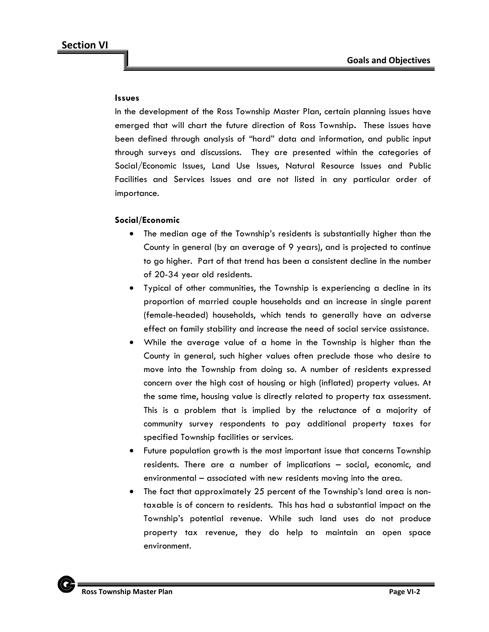#### **Issues**

In the development of the Ross Township Master Plan, certain planning issues have emerged that will chart the future direction of Ross Township**.** These issues have been defined through analysis of "hard" data and information, and public input through surveys and discussions. They are presented within the categories of Social/Economic Issues, Land Use Issues, Natural Resource Issues and Public Facilities and Services Issues and are not listed in any particular order of importance.

## **Social/Economic**

- The median age of the Township's residents is substantially higher than the County in general (by an average of 9 years), and is projected to continue to go higher. Part of that trend has been a consistent decline in the number of 20-34 year old residents.
- Typical of other communities, the Township is experiencing a decline in its proportion of married couple households and an increase in single parent (female-headed) households, which tends to generally have an adverse effect on family stability and increase the need of social service assistance.
- While the average value of a home in the Township is higher than the County in general, such higher values often preclude those who desire to move into the Township from doing so. A number of residents expressed concern over the high cost of housing or high (inflated) property values. At the same time, housing value is directly related to property tax assessment. This is a problem that is implied by the reluctance of a majority of community survey respondents to pay additional property taxes for specified Township facilities or services.
- Future population growth is the most important issue that concerns Township residents. There are a number of implications – social, economic, and environmental – associated with new residents moving into the area.
- The fact that approximately 25 percent of the Township's land area is nontaxable is of concern to residents. This has had a substantial impact on the Township's potential revenue. While such land uses do not produce property tax revenue, they do help to maintain an open space environment.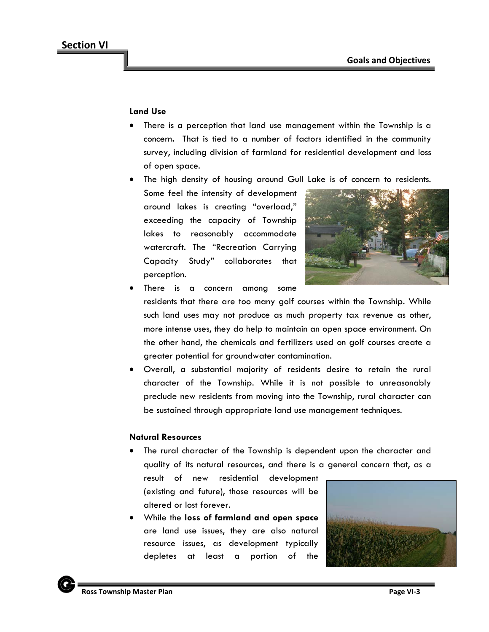#### **Land Use**

- There is a perception that land use management within the Township is a concern**.** That is tied to a number of factors identified in the community survey, including division of farmland for residential development and loss of open space.
- The high density of housing around Gull Lake is of concern to residents.
- Some feel the intensity of development around lakes is creating "overload," exceeding the capacity of Township lakes to reasonably accommodate watercraft. The "Recreation Carrying Capacity Study" collaborates that perception.



There is a concern among some

residents that there are too many golf courses within the Township. While such land uses may not produce as much property tax revenue as other, more intense uses, they do help to maintain an open space environment. On the other hand, the chemicals and fertilizers used on golf courses create a greater potential for groundwater contamination.

• Overall, a substantial majority of residents desire to retain the rural character of the Township. While it is not possible to unreasonably preclude new residents from moving into the Township, rural character can be sustained through appropriate land use management techniques.

#### **Natural Resources**

• The rural character of the Township is dependent upon the character and quality of its natural resources, and there is a general concern that, as a

result of new residential development (existing and future), those resources will be altered or lost forever.

• While the **loss of farmland and open space** are land use issues, they are also natural resource issues, as development typically depletes at least a portion of the

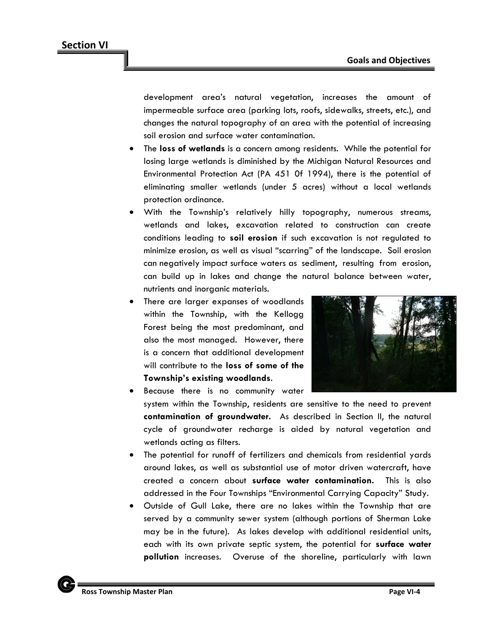development area's natural vegetation, increases the amount of impermeable surface area (parking lots, roofs, sidewalks, streets, etc.), and changes the natural topography of an area with the potential of increasing soil erosion and surface water contamination.

- The **loss of wetlands** is a concern among residents. While the potential for losing large wetlands is diminished by the Michigan Natural Resources and Environmental Protection Act (PA 451 0f 1994), there is the potential of eliminating smaller wetlands (under 5 acres) without a local wetlands protection ordinance.
- With the Township's relatively hilly topography, numerous streams, wetlands and lakes, excavation related to construction can create conditions leading to **soil erosion** if such excavation is not regulated to minimize erosion, as well as visual "scarring" of the landscape. Soil erosion can negatively impact surface waters as sediment, resulting from erosion, can build up in lakes and change the natural balance between water, nutrients and inorganic materials.
- There are larger expanses of woodlands within the Township, with the Kellogg Forest being the most predominant, and also the most managed. However, there is a concern that additional development will contribute to the **loss of some of the Township's existing woodlands**.



- Because there is no community water system within the Township, residents are sensitive to the need to prevent **contamination of groundwater.** As described in Section II, the natural cycle of groundwater recharge is aided by natural vegetation and wetlands acting as filters.
- The potential for runoff of fertilizers and chemicals from residential yards around lakes, as well as substantial use of motor driven watercraft, have created a concern about **surface water contamination.** This is also addressed in the Four Townships "Environmental Carrying Capacity" Study.
- Outside of Gull Lake, there are no lakes within the Township that are served by a community sewer system (although portions of Sherman Lake may be in the future). As lakes develop with additional residential units, each with its own private septic system, the potential for **surface water pollution** increases. Overuse of the shoreline, particularly with lawn

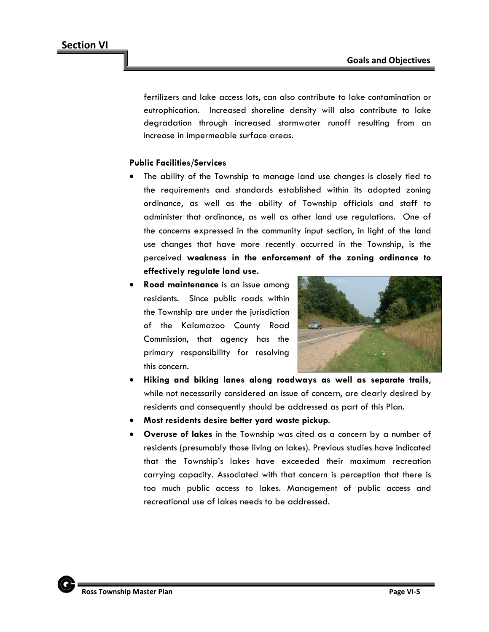fertilizers and lake access lots, can also contribute to lake contamination or eutrophication. Increased shoreline density will also contribute to lake degradation through increased stormwater runoff resulting from an increase in impermeable surface areas.

# **Public Facilities/Services**

- The ability of the Township to manage land use changes is closely tied to the requirements and standards established within its adopted zoning ordinance, as well as the ability of Township officials and staff to administer that ordinance, as well as other land use regulations. One of the concerns expressed in the community input section, in light of the land use changes that have more recently occurred in the Township, is the perceived **weakness in the enforcement of the zoning ordinance to effectively regulate land use.**
- **Road maintenance** is an issue among residents. Since public roads within the Township are under the jurisdiction of the Kalamazoo County Road Commission, that agency has the primary responsibility for resolving this concern.



- **Hiking and biking lanes along roadways as well as separate trails**, while not necessarily considered an issue of concern, are clearly desired by residents and consequently should be addressed as part of this Plan.
- **Most residents desire better yard waste pickup**.
- **Overuse of lakes** in the Township was cited as a concern by a number of residents (presumably those living on lakes). Previous studies have indicated that the Township's lakes have exceeded their maximum recreation carrying capacity. Associated with that concern is perception that there is too much public access to lakes. Management of public access and recreational use of lakes needs to be addressed.

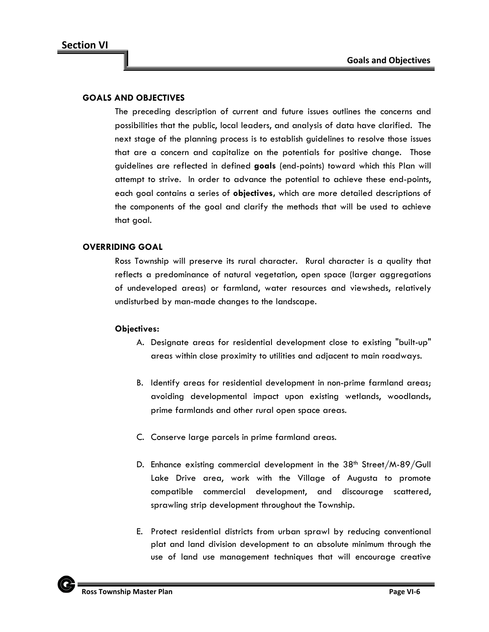## **GOALS AND OBJECTIVES**

The preceding description of current and future issues outlines the concerns and possibilities that the public, local leaders, and analysis of data have clarified. The next stage of the planning process is to establish guidelines to resolve those issues that are a concern and capitalize on the potentials for positive change. Those guidelines are reflected in defined **goals** (end-points) toward which this Plan will attempt to strive. In order to advance the potential to achieve these end-points, each goal contains a series of **objectives,** which are more detailed descriptions of the components of the goal and clarify the methods that will be used to achieve that goal.

## **OVERRIDING GOAL**

Ross Township will preserve its rural character. Rural character is a quality that reflects a predominance of natural vegetation, open space (larger aggregations of undeveloped areas) or farmland, water resources and viewsheds, relatively undisturbed by man-made changes to the landscape.

- A. Designate areas for residential development close to existing "built-up" areas within close proximity to utilities and adjacent to main roadways.
- B. Identify areas for residential development in non-prime farmland areas; avoiding developmental impact upon existing wetlands, woodlands**,**  prime farmlands and other rural open space areas.
- C. Conserve large parcels in prime farmland areas.
- D. Enhance existing commercial development in the 38<sup>th</sup> Street/M-89/Gull Lake Drive area, work with the Village of Augusta to promote compatible commercial development, and discourage scattered, sprawling strip development throughout the Township.
- E. Protect residential districts from urban sprawl by reducing conventional plat and land division development to an absolute minimum through the use of land use management techniques that will encourage creative

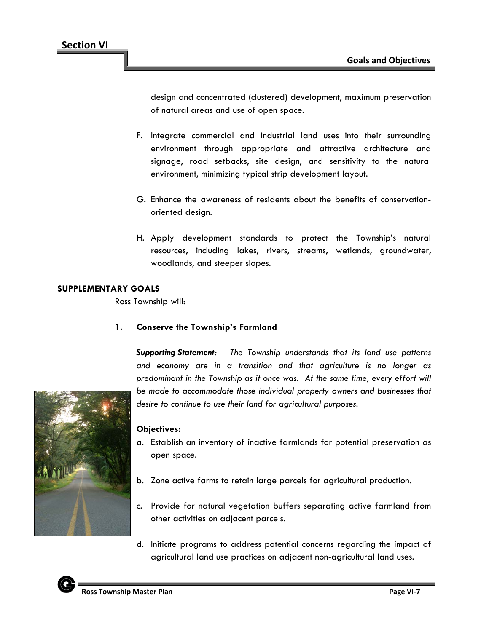design and concentrated (clustered) development, maximum preservation of natural areas and use of open space.

- F. Integrate commercial and industrial land uses into their surrounding environment through appropriate and attractive architecture and signage, road setbacks, site design, and sensitivity to the natural environment, minimizing typical strip development layout.
- G. Enhance the awareness of residents about the benefits of conservationoriented design.
- H. Apply development standards to protect the Township's natural resources, including lakes, rivers, streams, wetlands, groundwater, woodlands, and steeper slopes.

# **SUPPLEMENTARY GOALS**

Ross Township will:

# **1. Conserve the Township's Farmland**

*Supporting Statement: The Township understands that its land use patterns and economy are in a transition and that agriculture is no longer as predominant in the Township as it once was. At the same time, every effort will*  be made to accommodate those individual property owners and businesses that *desire to continue to use their land for agricultural purposes.*

- a. Establish an inventory of inactive farmlands for potential preservation as open space.
- b. Zone active farms to retain large parcels for agricultural production.
- c. Provide for natural vegetation buffers separating active farmland from other activities on adjacent parcels.
- d. Initiate programs to address potential concerns regarding the impact of agricultural land use practices on adjacent non-agricultural land uses.

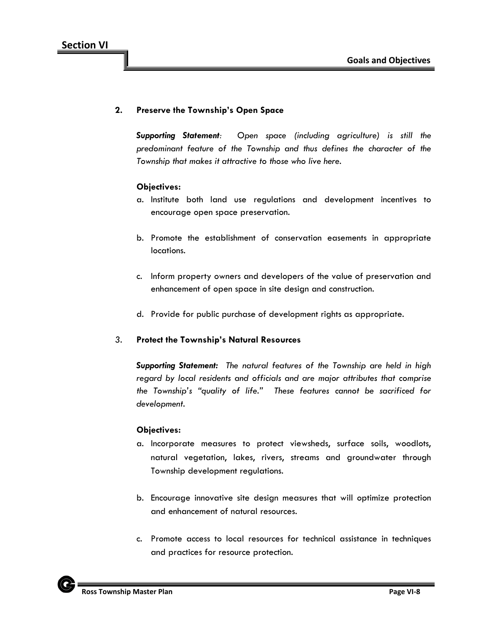## **2. Preserve the Township's Open Space**

*Supporting Statement: Open space (including agriculture) is still the predominant feature of the Township and thus defines the character of the Township that makes it attractive to those who live here.*

#### **Objectives:**

- a. Institute both land use regulations and development incentives to encourage open space preservation.
- b. Promote the establishment of conservation easements in appropriate locations.
- c. Inform property owners and developers of the value of preservation and enhancement of open space in site design and construction.
- d. Provide for public purchase of development rights as appropriate.

#### *3.* **Protect the Township's Natural Resources**

*Supporting Statement: The natural features of the Township are held in high regard by local residents and officials and are major attributes that comprise the Township's "quality of life." These features cannot be sacrificed for development.*

- a. Incorporate measures to protect viewsheds, surface soils, woodlots, natural vegetation, lakes, rivers, streams and groundwater through Township development regulations.
- b. Encourage innovative site design measures that will optimize protection and enhancement of natural resources.
- c. Promote access to local resources for technical assistance in techniques and practices for resource protection.

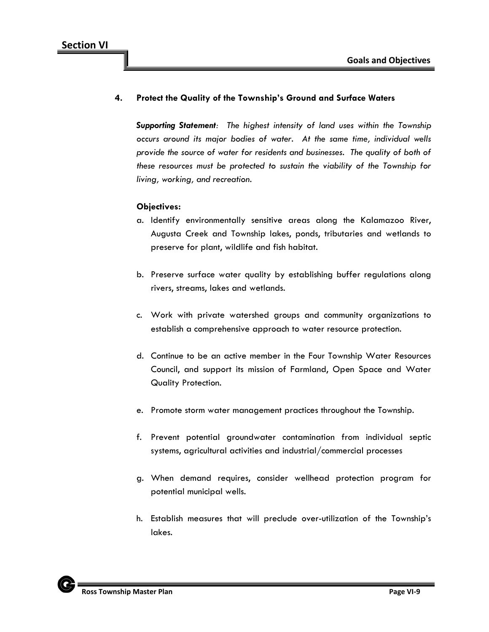## **4. Protect the Quality of the Township's Ground and Surface Waters**

*Supporting Statement: The highest intensity of land uses within the Township occurs around its major bodies of water. At the same time, individual wells provide the source of water for residents and businesses. The quality of both of these resources must be protected to sustain the viability of the Township for living, working, and recreation.*

- a. Identify environmentally sensitive areas along the Kalamazoo River, Augusta Creek and Township lakes, ponds, tributaries and wetlands to preserve for plant, wildlife and fish habitat.
- b. Preserve surface water quality by establishing buffer regulations along rivers, streams, lakes and wetlands.
- c. Work with private watershed groups and community organizations to establish a comprehensive approach to water resource protection.
- d. Continue to be an active member in the Four Township Water Resources Council, and support its mission of Farmland, Open Space and Water Quality Protection.
- e. Promote storm water management practices throughout the Township.
- f. Prevent potential groundwater contamination from individual septic systems, agricultural activities and industrial/commercial processes
- g. When demand requires, consider wellhead protection program for potential municipal wells.
- h. Establish measures that will preclude over-utilization of the Township's lakes.

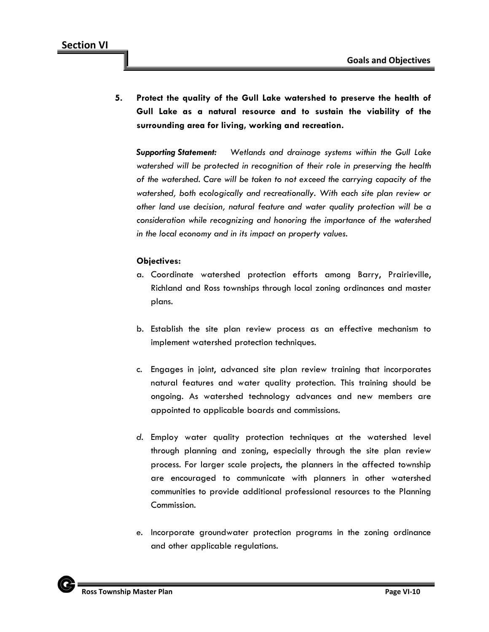**5. Protect the quality of the Gull Lake watershed to preserve the health of Gull Lake as a natural resource and to sustain the viability of the surrounding area for living, working and recreation.**

*Supporting Statement: Wetlands and drainage systems within the Gull Lake watershed will be protected in recognition of their role in preserving the health of the watershed. Care will be taken to not exceed the carrying capacity of the watershed, both ecologically and recreationally. With each site plan review or other land use decision, natural feature and water quality protection will be a consideration while recognizing and honoring the importance of the watershed in the local economy and in its impact on property values.*

- a. Coordinate watershed protection efforts among Barry, Prairieville, Richland and Ross townships through local zoning ordinances and master plans.
- b. Establish the site plan review process as an effective mechanism to implement watershed protection techniques.
- c. Engages in joint, advanced site plan review training that incorporates natural features and water quality protection. This training should be ongoing. As watershed technology advances and new members are appointed to applicable boards and commissions.
- *d.* Employ water quality protection techniques at the watershed level through planning and zoning, especially through the site plan review process. For larger scale projects, the planners in the affected township are encouraged to communicate with planners in other watershed communities to provide additional professional resources to the Planning Commission.
- *e.* Incorporate groundwater protection programs in the zoning ordinance and other applicable regulations.

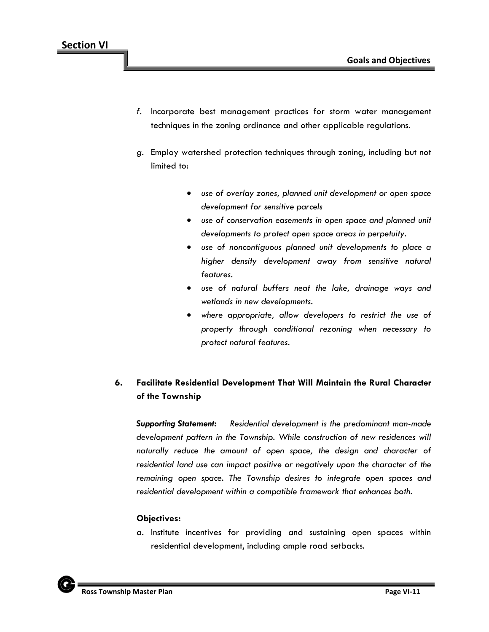- *f.* Incorporate best management practices for storm water management techniques in the zoning ordinance and other applicable regulations.
- *g.* Employ watershed protection techniques through zoning, including but not limited to:
	- *use of overlay zones, planned unit development or open space development for sensitive parcels*
	- *use of conservation easements in open space and planned unit developments to protect open space areas in perpetuity.*
	- *use of noncontiguous planned unit developments to place a higher density development away from sensitive natural features.*
	- *use of natural buffers neat the lake, drainage ways and wetlands in new developments.*
	- *where appropriate, allow developers to restrict the use of property through conditional rezoning when necessary to protect natural features.*

# **6. Facilitate Residential Development That Will Maintain the Rural Character of the Township**

*Supporting Statement: Residential development is the predominant man-made*  development pattern in the Township. While construction of new residences will *naturally reduce the amount of open space, the design and character of residential land use can impact positive or negatively upon the character of the remaining open space. The Township desires to integrate open spaces and residential development within a compatible framework that enhances both.*

# **Objectives:**

a. Institute incentives for providing and sustaining open spaces within residential development, including ample road setbacks.

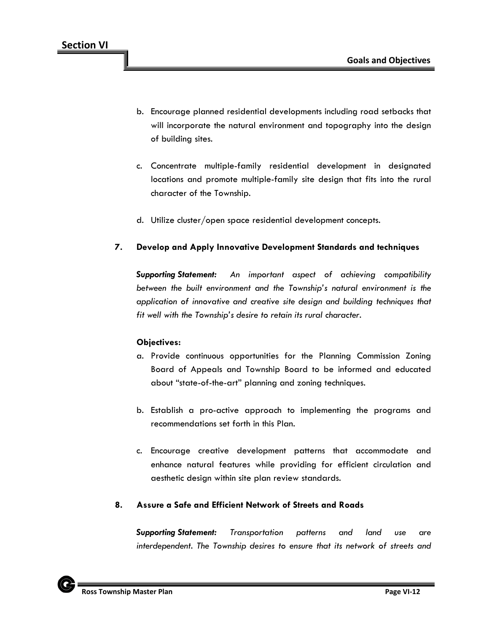- b. Encourage planned residential developments including road setbacks that will incorporate the natural environment and topography into the design of building sites.
- c. Concentrate multiple-family residential development in designated locations and promote multiple-family site design that fits into the rural character of the Township.
- d. Utilize cluster/open space residential development concepts.

# **7. Develop and Apply Innovative Development Standards and techniques**

*Supporting Statement: An important aspect of achieving compatibility between the built environment and the Township's natural environment is the application of innovative and creative site design and building techniques that fit well with the Township's desire to retain its rural character.*

#### **Objectives:**

- a. Provide continuous opportunities for the Planning Commission Zoning Board of Appeals and Township Board to be informed and educated about "state-of-the-art" planning and zoning techniques.
- b. Establish a pro-active approach to implementing the programs and recommendations set forth in this Plan.
- c. Encourage creative development patterns that accommodate and enhance natural features while providing for efficient circulation and aesthetic design within site plan review standards.

# **8. Assure a Safe and Efficient Network of Streets and Roads**

*Supporting Statement: Transportation patterns and land use are interdependent. The Township desires to ensure that its network of streets and* 

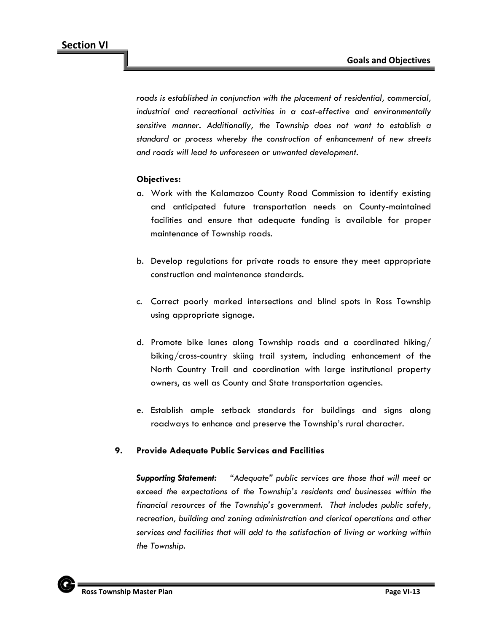*roads is established in conjunction with the placement of residential, commercial, industrial and recreational activities in a cost-effective and environmentally sensitive manner. Additionally, the Township does not want to establish a standard or process whereby the construction of enhancement of new streets and roads will lead to unforeseen or unwanted development.*

## **Objectives:**

- a. Work with the Kalamazoo County Road Commission to identify existing and anticipated future transportation needs on County-maintained facilities and ensure that adequate funding is available for proper maintenance of Township roads.
- b. Develop regulations for private roads to ensure they meet appropriate construction and maintenance standards.
- c. Correct poorly marked intersections and blind spots in Ross Township using appropriate signage.
- d. Promote bike lanes along Township roads and a coordinated hiking/ biking/cross-country skiing trail system, including enhancement of the North Country Trail and coordination with large institutional property owners, as well as County and State transportation agencies.
- e. Establish ample setback standards for buildings and signs along roadways to enhance and preserve the Township's rural character.

#### **9. Provide Adequate Public Services and Facilities**

*Supporting Statement: "Adequate" public services are those that will meet or*  exceed the expectations of the Township's residents and businesses within the *financial resources of the Township's government. That includes public safety, recreation, building and zoning administration and clerical operations and other services and facilities that will add to the satisfaction of living or working within the Township.*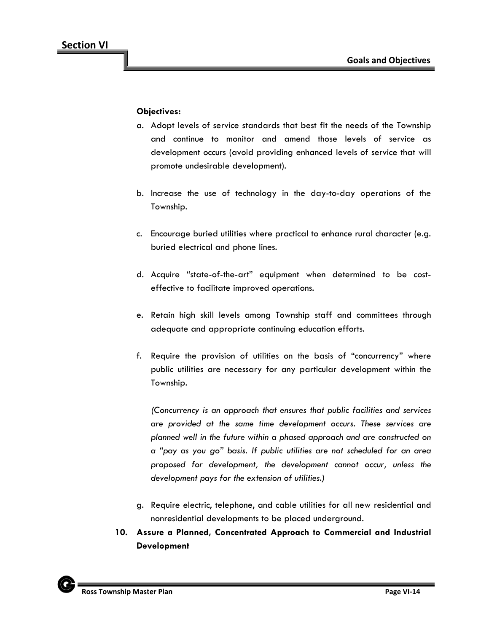# **Objectives:**

- a. Adopt levels of service standards that best fit the needs of the Township and continue to monitor and amend those levels of service as development occurs (avoid providing enhanced levels of service that will promote undesirable development).
- b. Increase the use of technology in the day-to-day operations of the Township.
- c. Encourage buried utilities where practical to enhance rural character (e.g. buried electrical and phone lines.
- d. Acquire "state-of-the-art" equipment when determined to be costeffective to facilitate improved operations.
- e. Retain high skill levels among Township staff and committees through adequate and appropriate continuing education efforts.
- f. Require the provision of utilities on the basis of "concurrency" where public utilities are necessary for any particular development within the Township.

*(Concurrency is an approach that ensures that public facilities and services are provided at the same time development occurs. These services are planned well in the future within a phased approach and are constructed on a "pay as you go" basis. If public utilities are not scheduled for an area proposed for development, the development cannot occur, unless the development pays for the extension of utilities.)*

- g. Require electric, telephone, and cable utilities for all new residential and nonresidential developments to be placed underground.
- **10. Assure a Planned, Concentrated Approach to Commercial and Industrial Development**